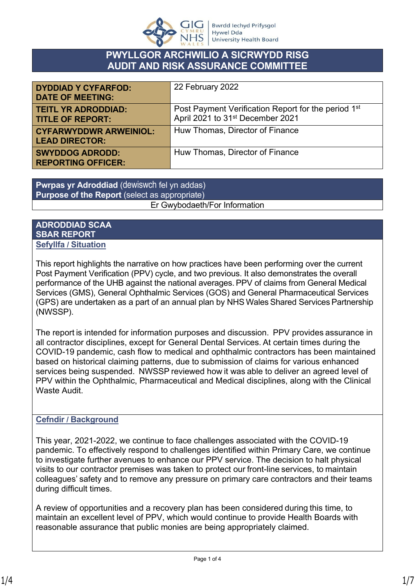

# **PWYLLGOR ARCHWILIO A SICRWYDD RISG AUDIT AND RISK ASSURANCE COMMITTEE**

| <b>DYDDIAD Y CYFARFOD:</b><br><b>DATE OF MEETING:</b>  | 22 February 2022                                                                                                |
|--------------------------------------------------------|-----------------------------------------------------------------------------------------------------------------|
| <b>TEITL YR ADRODDIAD:</b><br><b>TITLE OF REPORT:</b>  | Post Payment Verification Report for the period 1 <sup>st</sup><br>April 2021 to 31 <sup>st</sup> December 2021 |
| <b>CYFARWYDDWR ARWEINIOL:</b><br><b>LEAD DIRECTOR:</b> | Huw Thomas, Director of Finance                                                                                 |
| <b>SWYDDOG ADRODD:</b><br><b>REPORTING OFFICER:</b>    | Huw Thomas, Director of Finance                                                                                 |

**Pwrpas yr Adroddiad** (dewiswch fel yn addas) **Purpose of the Report** (select as appropriate) Er Gwybodaeth/For Information

### **ADRODDIAD SCAA SBAR REPORT Sefyllfa / Situation**

This report highlights the narrative on how practices have been performing over the current Post Payment Verification (PPV) cycle, and two previous. It also demonstrates the overall performance of the UHB against the national averages. PPV of claims from General Medical Services (GMS), General Ophthalmic Services (GOS) and General Pharmaceutical Services (GPS) are undertaken as a part of an annual plan by NHS Wales Shared Services Partnership (NWSSP).

The report is intended for information purposes and discussion.  PPV provides assurance in all contractor disciplines, except for General Dental Services. At certain times during the COVID-19 pandemic, cash flow to medical and ophthalmic contractors has been maintained based on historical claiming patterns, due to submission of claims for various enhanced services being suspended.  NWSSP reviewed how it was able to deliver an agreed level of PPV within the Ophthalmic, Pharmaceutical and Medical disciplines, along with the Clinical Waste Audit. 

# **Cefndir / Background**

This year, 2021-2022, we continue to face challenges associated with the COVID-19 pandemic. To effectively respond to challenges identified within Primary Care, we continue to investigate further avenues to enhance our PPV service. The decision to halt physical visits to our contractor premises was taken to protect our front-line services, to maintain colleagues' safety and to remove any pressure on primary care contractors and their teams during difficult times. 

A review of opportunities and a recovery plan has been considered during this time, to maintain an excellent level of PPV, which would continue to provide Health Boards with reasonable assurance that public monies are being appropriately claimed.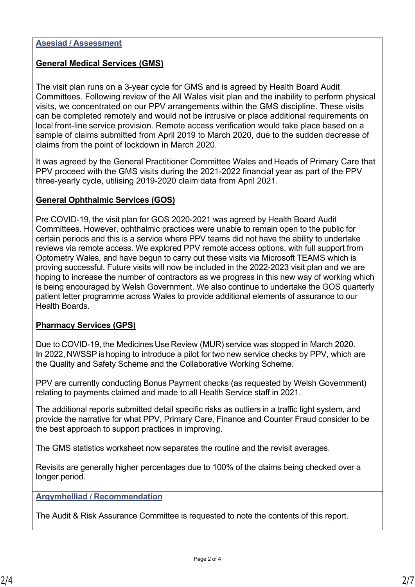### **Asesiad / Assessment**

# **General Medical Services (GMS)**

The visit plan runs on a 3-year cycle for GMS and is agreed by Health Board Audit Committees. Following review of the All Wales visit plan and the inability to perform physical visits, we concentrated on our PPV arrangements within the GMS discipline. These visits can be completed remotely and would not be intrusive or place additional requirements on local front-line service provision. Remote access verification would take place based on a sample of claims submitted from April 2019 to March 2020, due to the sudden decrease of claims from the point of lockdown in March 2020.

It was agreed by the General Practitioner Committee Wales and Heads of Primary Care that PPV proceed with the GMS visits during the 2021-2022 financial year as part of the PPV three-yearly cycle, utilising 2019-2020 claim data from April 2021.

### **General Ophthalmic Services (GOS)**

Pre COVID-19, the visit plan for GOS 2020-2021 was agreed by Health Board Audit Committees. However, ophthalmic practices were unable to remain open to the public for certain periods and this is a service where PPV teams did not have the ability to undertake reviews via remote access. We explored PPV remote access options, with full support from Optometry Wales, and have begun to carry out these visits via Microsoft TEAMS which is proving successful. Future visits will now be included in the 2022-2023 visit plan and we are hoping to increase the number of contractors as we progress in this new way of working which is being encouraged by Welsh Government. We also continue to undertake the GOS quarterly patient letter programme across Wales to provide additional elements of assurance to our Health Boards.

### **Pharmacy Services (GPS)**

Due to COVID-19, the Medicines Use Review (MUR) service was stopped in March 2020.   In 2022, NWSSP is hoping to introduce a pilot for two new service checks by PPV, which are the Quality and Safety Scheme and the Collaborative Working Scheme.

PPV are currently conducting Bonus Payment checks (as requested by Welsh Government) relating to payments claimed and made to all Health Service staff in 2021.

The additional reports submitted detail specific risks as outliers in a traffic light system, and provide the narrative for what PPV, Primary Care, Finance and Counter Fraud consider to be the best approach to support practices in improving.

The GMS statistics worksheet now separates the routine and the revisit averages.

Revisits are generally higher percentages due to 100% of the claims being checked over a longer period.

### **Argymhelliad / Recommendation**

The Audit & Risk Assurance Committee is requested to note the contents of this report.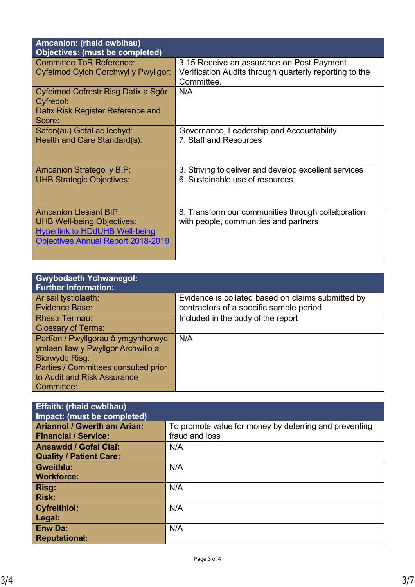| Amcanion: (rhaid cwblhau)<br>Objectives: (must be completed)                                                                                             |                                                                                                                   |
|----------------------------------------------------------------------------------------------------------------------------------------------------------|-------------------------------------------------------------------------------------------------------------------|
| <b>Committee ToR Reference:</b><br><b>Cyfeirnod Cylch Gorchwyl y Pwyllgor:</b>                                                                           | 3.15 Receive an assurance on Post Payment<br>Verification Audits through quarterly reporting to the<br>Committee. |
| Cyfeirnod Cofrestr Risg Datix a Sgôr<br><b>Cyfredol:</b><br>Datix Risk Register Reference and<br>Score:                                                  | N/A                                                                                                               |
| Safon(au) Gofal ac lechyd:<br>Health and Care Standard(s):                                                                                               | Governance, Leadership and Accountability<br>7. Staff and Resources                                               |
| <b>Amcanion Strategol y BIP:</b><br><b>UHB Strategic Objectives:</b>                                                                                     | 3. Striving to deliver and develop excellent services<br>6. Sustainable use of resources                          |
| <b>Amcanion Llesiant BIP:</b><br><b>UHB Well-being Objectives:</b><br><b>Hyperlink to HDdUHB Well-being</b><br><b>Objectives Annual Report 2018-2019</b> | 8. Transform our communities through collaboration<br>with people, communities and partners                       |

| <b>Gwybodaeth Ychwanegol:</b><br><b>Further Information:</b>                                                                                                                    |                                                                                              |
|---------------------------------------------------------------------------------------------------------------------------------------------------------------------------------|----------------------------------------------------------------------------------------------|
| Ar sail tystiolaeth:<br><b>Evidence Base:</b>                                                                                                                                   | Evidence is collated based on claims submitted by<br>contractors of a specific sample period |
| <b>Rhestr Termau:</b><br><b>Glossary of Terms:</b>                                                                                                                              | Included in the body of the report                                                           |
| Partïon / Pwyllgorau â ymgynhorwyd<br>ymlaen llaw y Pwyllgor Archwilio a<br>Sicrwydd Risg:<br>Parties / Committees consulted prior<br>to Audit and Risk Assurance<br>Committee: | N/A                                                                                          |

| <b>Effaith: (rhaid cwblhau)</b><br>Impact: (must be completed) |                                                        |
|----------------------------------------------------------------|--------------------------------------------------------|
| <b>Ariannol / Gwerth am Arian:</b>                             | To promote value for money by deterring and preventing |
| <b>Financial / Service:</b>                                    | fraud and loss                                         |
| <b>Ansawdd / Gofal Claf:</b>                                   | N/A                                                    |
| <b>Quality / Patient Care:</b>                                 |                                                        |
| <b>Gweithlu:</b>                                               | N/A                                                    |
| <b>Workforce:</b>                                              |                                                        |
| <b>Risg:</b>                                                   | N/A                                                    |
| <b>Risk:</b>                                                   |                                                        |
| <b>Cyfreithiol:</b>                                            | N/A                                                    |
| Legal:                                                         |                                                        |
| <b>Enw Da:</b>                                                 | N/A                                                    |
| <b>Reputational:</b>                                           |                                                        |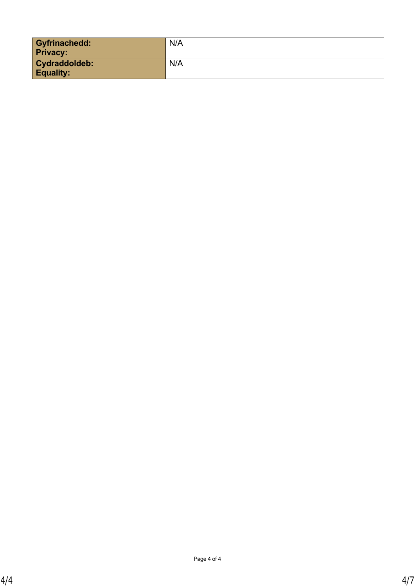| <b>Gyfrinachedd:</b><br><b>Privacy:</b>  | N/A |
|------------------------------------------|-----|
| <b>Cydraddoldeb:</b><br><b>Equality:</b> | N/A |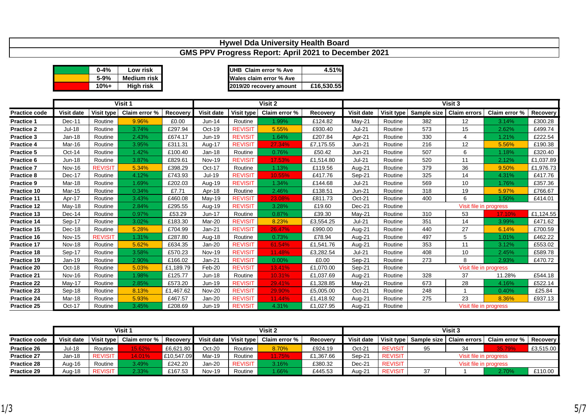|                    | Hywel Dda University Health Board |                |                    |           |               |                |                                                      |            |               |            |             |                        |               |           |
|--------------------|-----------------------------------|----------------|--------------------|-----------|---------------|----------------|------------------------------------------------------|------------|---------------|------------|-------------|------------------------|---------------|-----------|
|                    |                                   |                |                    |           |               |                | GMS PPV Progress Report: April 2021 to December 2021 |            |               |            |             |                        |               |           |
|                    |                                   |                |                    |           |               |                |                                                      |            |               |            |             |                        |               |           |
|                    |                                   | $0 - 4%$       | Low risk           |           |               |                | <b>UHB Claim error % Ave</b>                         | 4.51%      |               |            |             |                        |               |           |
|                    |                                   | 5-9%           | <b>Medium risk</b> |           |               |                | Wales claim error % Ave                              |            |               |            |             |                        |               |           |
|                    |                                   | $10% +$        | <b>High risk</b>   |           |               |                | 2019/20 recovery amount                              | £16,530.55 |               |            |             |                        |               |           |
|                    |                                   |                |                    |           |               |                |                                                      |            |               |            |             |                        |               |           |
|                    |                                   |                | Visit 1            |           |               |                | Visit 2                                              |            |               |            |             | Visit 3                |               |           |
| Practice code      | Visit date                        | Visit type     | Claim error %      | Recovery  | Visit date    | Visit type     | Claim error %                                        | Recovery   | Visit date    | Visit type | Sample size | <b>Claim errors</b>    | Claim error % | Recovery  |
| <b>Practice 1</b>  | Dec-11                            | Routine        | 9.96%              | £0.00     | Jun-14        | Routine        | 1.99%                                                | £124.82    | May-21        | Routine    | 382         | 12                     | 3.14%         | £300.28   |
| <b>Practice 2</b>  | <b>Jul-18</b>                     | Routine        | 3.74%              | £297.94   | Oct-19        | <b>REVISIT</b> | 5.55%                                                | £930.40    | $Jul-21$      | Routine    | 573         | 15                     | 2.62%         | £499.74   |
| Practice 3         | Jan-18                            | Routine        | 2.43%              | £674.17   | Jun-19        | <b>REVISIT</b> | 1.64%                                                | £207.84    | Apr-21        | Routine    | 330         | 4                      | 1.21%         | £222.54   |
| Practice 4         | Mar-16                            | Routine        | 3.95%              | £311.31   | Aug-17        | <b>REVISIT</b> | 27.34%                                               | £7,175.55  | Jun-21        | Routine    | 216         | 12                     | 5.56%         | £190.38   |
| <b>Practice 5</b>  | Oct-14                            | Routine        | 1.42%              | £100.40   | Jan-18        | Routine        | 0.76%                                                | £50.42     | Jun-21        | Routine    | 507         | 6                      | 1.18%         | £320.40   |
| Practice 6         | <b>Jun-18</b>                     | Routine        | 3.87%              | £829.61   | <b>Nov-19</b> | <b>REVISIT</b> | 17.53%                                               | £1,514.80  | <b>Jul-21</b> | Routine    | 520         | 11                     | 2.12%         | £1,037.89 |
| <b>Practice 7</b>  | Nov-16                            | <b>REVISIT</b> | 5.34%              | £398.29   | Oct-17        | Routine        | 1.13%                                                | £119.56    | Aug-21        | Routine    | 379         | 36                     | 9.50%         | £1,976.73 |
| <b>Practice 8</b>  | Dec-17                            | Routine        | 4.12%              | £743.93   | <b>Jul-19</b> | <b>REVISIT</b> | 10.55%                                               | £417.76    | Sep-21        | Routine    | 325         | 14                     | 4.31%         | £417.76   |
| <b>Practice 9</b>  | Mar-18                            | Routine        | 1.69%              | £202.03   | Aug-19        | <b>REVISIT</b> | 1.34%                                                | £144.68    | $Jul-21$      | Routine    | 569         | 10                     | 1.76%         | £357.36   |
| Practice 10        | Mar-15                            | Routine        | 0.34%              | £7.71     | Apr-18        | Routine        | 2.46%                                                | £138.51    | <b>Jun-21</b> | Routine    | 318         | 19                     | 5.97%         | £766.67   |
| Practice 11        | Apr-17                            | Routine        | 3.43%              | £460.08   | May-19        | <b>REVISIT</b> | 23.08%                                               | £811.73    | Oct-21        | Routine    | 400         | 6                      | 1.50%         | £414.01   |
| <b>Practice 12</b> | May-18                            | Routine        | 2.84%              | £295.55   | Aug-19        | <b>REVISIT</b> | 3.28%                                                | £19.60     | Dec-21        | Routine    |             | Visit file in progress |               |           |
| Practice 13        | Dec-14                            | Routine        | 0.97%              | £53.29    | <b>Jun-17</b> | Routine        | 0.87%                                                | £39.30     | May-21        | Routine    | 310         | 53                     | 17.10%        | £1,124.55 |
| Practice 14        | Sep-17                            | Routine        | 3.02%              | £183.30   | Mar-20        | <b>REVISIT</b> | 8.23%                                                | £3,554.25  | <b>Jul-21</b> | Routine    | 351         | 14                     | 3.99%         | £471.62   |
| Practice 15        | Dec-18                            | Routine        | 5.28%              | £704.99   | Jan-21        | <b>REVISIT</b> | 26.47%                                               | £990.00    | Aug-21        | Routine    | 440         | 27                     | 6.14%         | £700.59   |
| Practice 16        | <b>Nov-15</b>                     | <b>REVISIT</b> | 1.31%              | £287.80   | Aug-18        | Routine        | 0.73%                                                | £78.94     | Aug-21        | Routine    | 497         | 5                      | 1.01%         | £462.22   |
| Practice 17        | Nov-18                            | Routine        | 5.62%              | £634.35   | $Jan-20$      | <b>REVISIT</b> | 61.54%                                               | £1,541.76  | Aug-21        | Routine    | 353         | 11                     | 3.12%         | £553.02   |
| Practice 18        | Sep-17                            | Routine        | 3.58%              | £570.23   | <b>Nov-19</b> | <b>REVISIT</b> | 11.48%                                               | £3,282.54  | <b>Jul-21</b> | Routine    | 408         | 10                     | 2.45%         | £589.78   |
| Practice 19        | Jan-19                            | Routine        | 2.90%              | £166.02   | Jan-21        | <b>REVISIT</b> | 0.00%                                                | £0.00      | Sep-21        | Routine    | 273         | 8                      | 2.93%         | £470.72   |
| <b>Practice 20</b> | Oct-18                            | Routine        | 5.03%              | £1,189.79 | Feb-20        | <b>REVISIT</b> | 13.41%                                               | £1,070.00  | Sep-21        | Routine    |             | Visit file in progress |               |           |
| <b>Practice 21</b> | <b>Nov-16</b>                     | Routine        | 1.98%              | £125.77   | Jun-18        | Routine        | 10.31%                                               | £1,037.69  | Aug-21        | Routine    | 328         | 37                     | 11.28%        | £544.18   |
| <b>Practice 22</b> | May-17                            | Routine        | 2.85%              | £573.20   | Jun-19        | <b>REVISIT</b> | 29.41%                                               | £1,328.85  | $May-21$      | Routine    | 673         | 28                     | 4.16%         | £522.14   |
| <b>Practice 23</b> | Sep-18                            | Routine        | 8.13%              | £1,467.62 | <b>Nov-20</b> | <b>REVISIT</b> | 29.90%                                               | £5,005.00  | Oct-21        | Routine    | 248         |                        | 0.40%         | £25.84    |
| Practice 24        | Mar-18                            | Routine        | 5.93%              | £467.57   | Jan-20        | <b>REVISIT</b> | 11.44%                                               | £1,418.92  | Aug-21        | Routine    | 275         | 23                     | 8.36%         | £937.13   |
| Practice 25        | Oct-17                            | Routine        | 3.45%              | £208.69   | Jun-19        | <b>REVISIT</b> | 4.31%                                                | £1,027.95  | Aug-21        | Routine    |             | Visit file in progress |               |           |

|                      | Visit 1           |                |                                       |            | Visit 2       |                |               | Visit 3   |                   |                |                                             |                        |                 |           |
|----------------------|-------------------|----------------|---------------------------------------|------------|---------------|----------------|---------------|-----------|-------------------|----------------|---------------------------------------------|------------------------|-----------------|-----------|
| <b>Practice code</b> | <b>Visit date</b> |                | Visit type   Claim error %   Recovery |            | Visit date    | Visit type     | Claim error % | Recovery  | <b>Visit date</b> | Visit type     | Claim error %<br>Sample size   Claim errors |                        | <b>Recovery</b> |           |
| Practice 26          | Jul-18            | Routine        | 15.62%                                | £6,621.80  | Oct-20        | Routine        | 8.70%         | £924.19   | Oct-21            | <b>REVISIT</b> | 95                                          | 34                     | 35.79%          | £3,515.00 |
| <b>Practice 27</b>   | Jan-18            | <b>REVISIT</b> | 14.01%                                | £10,547.09 | Mar-19        | Routine        | <b>11.75%</b> | £1,367.66 | Sep-21            | <b>REVISIT</b> |                                             | Visit file in progress |                 |           |
| Practice 28          | Aua-16            | Routine        | $3.49\%$                              | £242.20    | Jan-20        | <b>REVISIT</b> | 3.16%         | £380.32   | Dec-21            | <b>REVISIT</b> | Visit file in progress                      |                        |                 |           |
| <b>Practice 29</b>   | Aua-18            | <b>REVISIT</b> | 2.33%                                 | £167.53    | <b>Nov-19</b> | Routine        | 1.66%         | £445.53   | Aug-21            | <b>REVISIT</b> | 37<br>2.70%                                 |                        | £110.00         |           |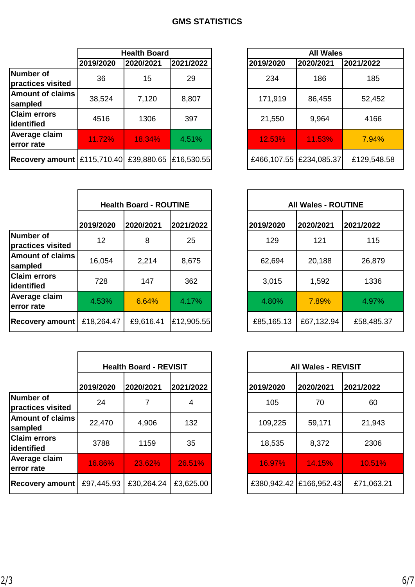# **GMS STATISTICS**

|                                          |           | <b>Health Board</b> |            |           | <b>All Wales</b>          |             |
|------------------------------------------|-----------|---------------------|------------|-----------|---------------------------|-------------|
|                                          | 2019/2020 | 2020/2021           | 2021/2022  | 2019/2020 | 2020/2021                 | 2021/2022   |
| Number of<br>practices visited           | 36        | 15                  | 29         | 234       | 186                       | 185         |
| <b>Amount of claims</b><br>sampled       | 38,524    | 7,120               | 8,807      | 171,919   | 86,455                    | 52,452      |
| <b>Claim errors</b><br>lidentified       | 4516      | 1306                | 397        | 21,550    | 9,964                     | 4166        |
| <b>Average claim</b><br>error rate       | 11.72%    | 18.34%              | 4.51%      | 12.53%    | 11.53%                    | 7.94%       |
| Recovery amount [£115,710.40] £39,880.65 |           |                     | £16,530.55 |           | £466,107.55   £234,085.37 | £129,548.58 |

|                                    | <b>Health Board - ROUTINE</b> |           |            |            | <b>All Wales - ROUTINE</b> |            |
|------------------------------------|-------------------------------|-----------|------------|------------|----------------------------|------------|
|                                    | 2019/2020                     | 2020/2021 | 2021/2022  | 2019/2020  | 2020/2021                  | 2021/2022  |
| Number of<br>practices visited     | 12                            | 8         | 25         | 129        | 121                        | 115        |
| <b>Amount of claims</b><br>sampled | 16,054                        | 2,214     | 8,675      | 62,694     | 20,188                     | 26,879     |
| <b>Claim errors</b><br>lidentified | 728                           | 147       | 362        | 3,015      | 1,592                      | 1336       |
| <b>Average claim</b><br>error rate | 4.53%                         | 6.64%     | 4.17%      | 4.80%      | 7.89%                      | 4.97%      |
| <b>Recovery amount</b>             | £18,264.47                    | £9,616.41 | £12,905.55 | £85,165.13 | £67,132.94                 | £58,485.37 |

|                                    |               | <b>Health Board - REVISIT</b> |           |           | <b>All Wales - REVISIT</b> |            |
|------------------------------------|---------------|-------------------------------|-----------|-----------|----------------------------|------------|
|                                    | 2019/2020     | 2020/2021                     | 2021/2022 | 2019/2020 | 2020/2021                  | 2021/2022  |
| Number of<br>practices visited     | 24            |                               | 4         | 105       | 70                         | 60         |
| <b>Amount of claims</b><br>sampled | 22,470        | 4,906                         | 132       | 109,225   | 59,171                     | 21,943     |
| <b>Claim errors</b><br>lidentified | 3788          | 1159                          | 35        | 18,535    | 8,372                      | 2306       |
| Average claim<br>error rate        | <b>16.86%</b> | 23.62%                        | 26.51%    | 16.97%    | 14.15%                     | 10.51%     |
| <b>Recovery amount</b>             | £97,445.93    | £30,264.24                    | £3,625.00 |           | £380,942.42   £166,952.43  | £71,063.21 |

| <b>Health Board</b>    |            |  |
|------------------------|------------|--|
| 2021/2022<br>2020/2021 |            |  |
| 15                     | 29         |  |
| 7,120                  | 8,807      |  |
| 1306                   | 397        |  |
| 18.34%                 | 4.51%      |  |
| £39,880.65             | £16,530.55 |  |

| <b>Health Board - ROUTINE</b> |           |            |  |            | <b>All Wales - ROUTINE</b> |            |
|-------------------------------|-----------|------------|--|------------|----------------------------|------------|
| 2020                          | 2020/2021 | 2021/2022  |  | 2019/2020  | 2020/2021                  | 2021/2022  |
| $\overline{2}$                | 8         | 25         |  | 129        | 121                        | 115        |
| 054                           | 2,214     | 8,675      |  | 62,694     | 20,188                     | 26,879     |
| 28                            | 147       | 362        |  | 3,015      | 1,592                      | 1336       |
| 3%                            | 6.64%     | 4.17%      |  | 4.80%      | 7.89%                      | 4.97%      |
| .64.47                        | £9,616.41 | £12,905.55 |  | £85,165.13 | £67,132.94                 | £58,485.37 |

| <b>Health Board - REVISIT</b> |            |           | <b>All Wales - REVISIT</b> |           |            |
|-------------------------------|------------|-----------|----------------------------|-----------|------------|
| 2019/2020                     | 2020/2021  | 2021/2022 | 2019/2020                  | 2020/2021 | 2021/2022  |
| 24                            |            | 4         | 105                        | 70        | 60         |
| 22,470                        | 4,906      | 132       | 109,225                    | 59,171    | 21,943     |
| 3788                          | 1159       | 35        | 18,535                     | 8,372     | 2306       |
| 16.86%                        | 23.62%     | 26.51%    | 16.97%                     | 14.15%    | 10.51%     |
| £97,445.93                    | £30,264.24 | £3,625.00 | £380,942.42   £166,952.43  |           | £71,063.21 |